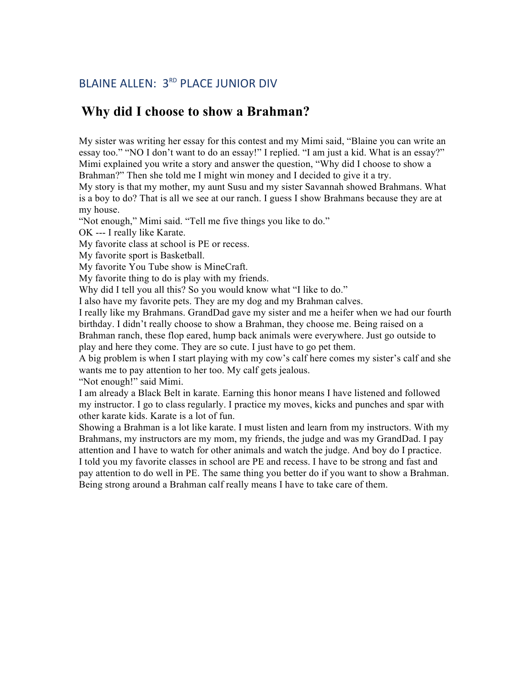## BLAINE ALLEN: 3RD PLACE JUNIOR DIV

## **Why did I choose to show a Brahman?**

My sister was writing her essay for this contest and my Mimi said, "Blaine you can write an essay too." "NO I don't want to do an essay!" I replied. "I am just a kid. What is an essay?" Mimi explained you write a story and answer the question, "Why did I choose to show a Brahman?" Then she told me I might win money and I decided to give it a try.

My story is that my mother, my aunt Susu and my sister Savannah showed Brahmans. What is a boy to do? That is all we see at our ranch. I guess I show Brahmans because they are at my house.

"Not enough," Mimi said. "Tell me five things you like to do."

OK --- I really like Karate.

My favorite class at school is PE or recess.

My favorite sport is Basketball.

My favorite You Tube show is MineCraft.

My favorite thing to do is play with my friends.

Why did I tell you all this? So you would know what "I like to do."

I also have my favorite pets. They are my dog and my Brahman calves.

I really like my Brahmans. GrandDad gave my sister and me a heifer when we had our fourth birthday. I didn't really choose to show a Brahman, they choose me. Being raised on a Brahman ranch, these flop eared, hump back animals were everywhere. Just go outside to play and here they come. They are so cute. I just have to go pet them.

A big problem is when I start playing with my cow's calf here comes my sister's calf and she wants me to pay attention to her too. My calf gets jealous.

"Not enough!" said Mimi.

I am already a Black Belt in karate. Earning this honor means I have listened and followed my instructor. I go to class regularly. I practice my moves, kicks and punches and spar with other karate kids. Karate is a lot of fun.

Showing a Brahman is a lot like karate. I must listen and learn from my instructors. With my Brahmans, my instructors are my mom, my friends, the judge and was my GrandDad. I pay attention and I have to watch for other animals and watch the judge. And boy do I practice. I told you my favorite classes in school are PE and recess. I have to be strong and fast and pay attention to do well in PE. The same thing you better do if you want to show a Brahman. Being strong around a Brahman calf really means I have to take care of them.